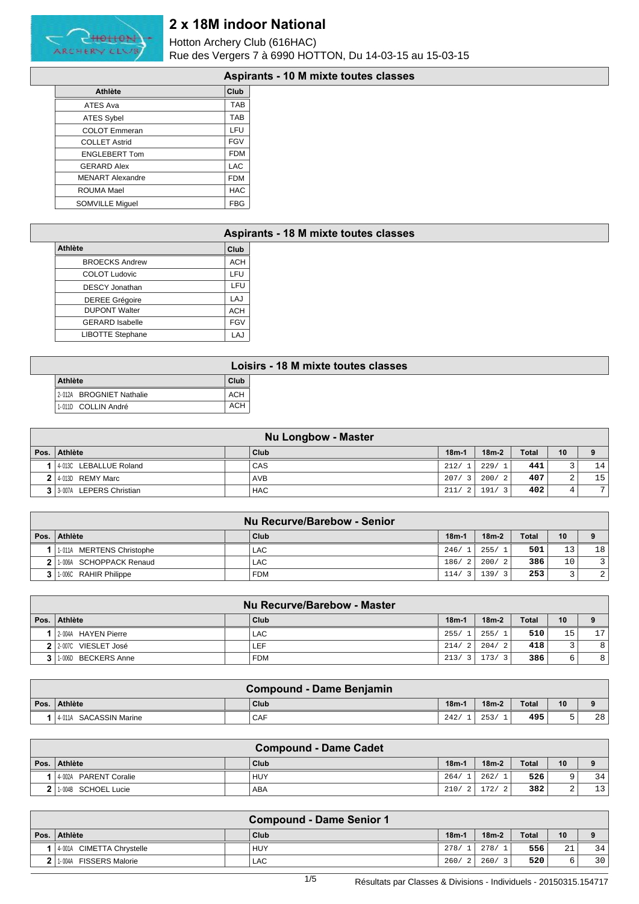

Hotton Archery Club (616HAC) Rue des Vergers 7 à 6990 HOTTON, Du 14-03-15 au 15-03-15

### **Aspirants - 10 M mixte toutes classes**

|                         | , ,,,,,,   |
|-------------------------|------------|
| <b>Athlète</b>          | Club       |
| <b>ATES Ava</b>         | <b>TAB</b> |
| <b>ATES Sybel</b>       | <b>TAB</b> |
| <b>COLOT</b> Emmeran    | LFU        |
| <b>COLLET Astrid</b>    | <b>FGV</b> |
| <b>ENGLEBERT Tom</b>    | <b>FDM</b> |
| <b>GERARD Alex</b>      | <b>LAC</b> |
| <b>MENART Alexandre</b> | <b>FDM</b> |
| ROUMA Mael              | <b>HAC</b> |
| <b>SOMVILLE Miquel</b>  | <b>FBG</b> |

|                         |            | Aspirants - 18 M mixte toutes classes |
|-------------------------|------------|---------------------------------------|
| <b>Athlète</b>          | Club       |                                       |
| <b>BROECKS Andrew</b>   | <b>ACH</b> |                                       |
| <b>COLOT Ludovic</b>    | <b>LFU</b> |                                       |
| <b>DESCY Jonathan</b>   | LFU        |                                       |
| <b>DEREE Grégoire</b>   | LAJ        |                                       |
| <b>DUPONT Walter</b>    | <b>ACH</b> |                                       |
| <b>GERARD Isabelle</b>  | <b>FGV</b> |                                       |
| <b>LIBOTTE Stephane</b> | LAJ        |                                       |

|                          |            | Loisirs - 18 M mixte toutes classes |
|--------------------------|------------|-------------------------------------|
| Athlète                  | Club       |                                     |
| 2-012A BROGNIET Nathalie | <b>ACH</b> |                                     |
| 1-011D COLLIN André      | <b>ACH</b> |                                     |
|                          |            |                                     |

|                             | <b>Nu Longbow - Master</b> |         |         |              |        |                 |
|-----------------------------|----------------------------|---------|---------|--------------|--------|-----------------|
| Pos. Athlète                | Club                       | $18m-1$ | $18m-2$ | <b>Total</b> | 10     | 9               |
| 1 4 013C LEBALLUE Roland    | CAS                        | 212/    | 229/1   | 441          |        | 14              |
| $2$   4-013D REMY Marc      | <b>AVB</b>                 | 207/3   | 200/2   | 407          | $\sim$ | 15 <sup>1</sup> |
| 3 3 3 007A LEPERS Christian | <b>HAC</b>                 | 211/2   | 191/    | 402          | 4      | 7               |

|                             | Nu Recurve/Barebow - Senior |         |         |              |                 |                 |
|-----------------------------|-----------------------------|---------|---------|--------------|-----------------|-----------------|
| Pos.   Athlète              | Club                        | $18m -$ | $18m-2$ | <b>Total</b> | 10              |                 |
| 1 1-011A MERTENS Christophe | <b>LAC</b>                  | 246/1   | 255/1   | 501          | 13              | 18 <sup>1</sup> |
| 2 1.006A SCHOPPACK Renaud   | LAC.                        | 186/2   | 200/2   | 386          | 10 <sup>°</sup> | $\mathbf{R}$    |
| 3   1.006C RAHIR Philippe   | <b>FDM</b>                  | 114/3   | 139/    | 253          | $\sim$          | $\overline{2}$  |

|                         | Nu Recurve/Barebow - Master |         |                                 |              |        |                 |
|-------------------------|-----------------------------|---------|---------------------------------|--------------|--------|-----------------|
| Pos.   Athlète          | Club                        | $18m-1$ | $18m-2$                         | <b>Total</b> | 10     | 9               |
| 1 2-004A HAYEN Pierre   | LAC.                        | 255/1   | 255/1                           | 510          | 15     | 17 <sup>1</sup> |
| 2 2 2 007C VIESLET José | LEF.                        | 214/2   | 204/2                           | 418          | $\sim$ | 8               |
| BECKERS Anne<br>1-006D  | <b>FDM</b>                  | 213/3   | 173/<br>$\overline{\mathbf{3}}$ | 386          | 6      | 8               |

|                           | Compound - Dame Benjamin |        |         |              |    |    |
|---------------------------|--------------------------|--------|---------|--------------|----|----|
| Pos. Athlète              | Club                     | $18m-$ | $18m-2$ | <b>Total</b> | 10 |    |
| SACASSIN Marine<br>4-011A | CAF                      | 242/   | 253.    | 495          |    | 28 |

|                        | <b>Compound - Dame Cadet</b> |        |         |              |             |                 |
|------------------------|------------------------------|--------|---------|--------------|-------------|-----------------|
| Pos. Athlète           | Club                         | $18m-$ | $18m-2$ | <b>Total</b> | 10          |                 |
| 14-002A PARENT Coralie | HUY                          | 264/   | 262/1   | 526          | Q           | 34              |
| 1-004B SCHOEL Lucie    | <b>ABA</b>                   | 210/2  | 172/    | 382          | $\sim$<br>∼ | 13 <sup>1</sup> |

|                                  | <b>Compound - Dame Senior 1</b> |         |           |              |    |          |
|----------------------------------|---------------------------------|---------|-----------|--------------|----|----------|
| Pos. Athlète                     | Club                            | $18m-1$ | $18m-2$   | <b>Total</b> | 10 | $\Omega$ |
| 4-001A CIMETTA Chrystelle        | HUY                             | 278/    | 278/      | 556          | 21 | 34       |
| <b>FISSERS Malorie</b><br>1-004A | LAC.                            | 260/    | 260/<br>3 | 520          |    | 30       |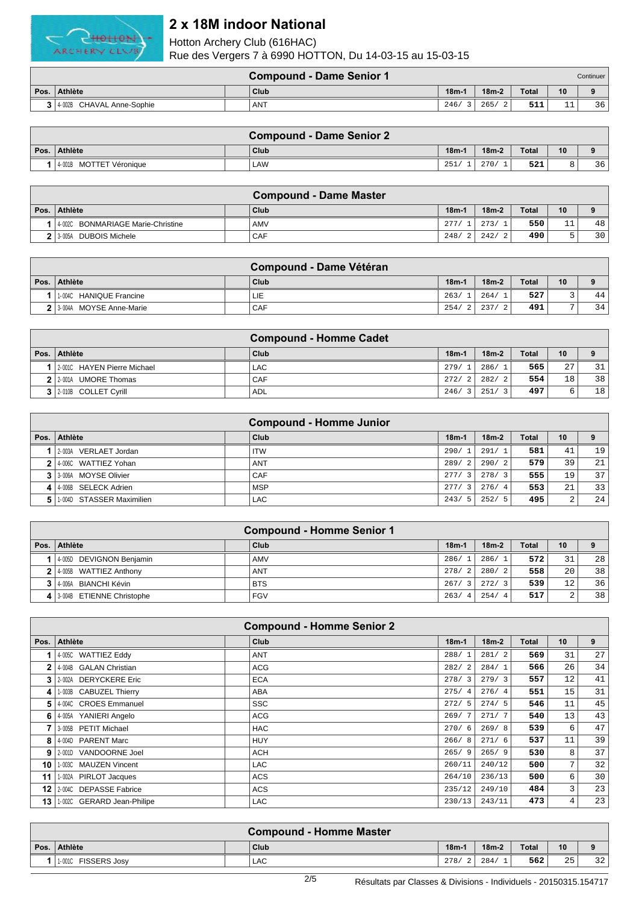

|                |                           | <b>Compound - Dame Senior 1</b> |         |         |              |                     | Continuer l |
|----------------|---------------------------|---------------------------------|---------|---------|--------------|---------------------|-------------|
|                | Pos.   Athlète            | Club                            | $18m-1$ | $18m-2$ | <b>Total</b> | 10                  |             |
| 3 <sup>1</sup> | 4-002B CHAVAL Anne-Sophie | <b>ANT</b>                      | 246/    | 265/    | 511          | $\sim$ $\sim$<br>ᅩᅩ | 36          |

|                         | <b>Compound - Dame Senior 2</b> |         |         |              |    |    |
|-------------------------|---------------------------------|---------|---------|--------------|----|----|
| Pos. Athlète            | Club                            | $18m-1$ | $18m-2$ | <b>Total</b> | 10 |    |
| 4-001B MOTTET Véronique | LAW                             | 251/    | 270/    | 521          |    | 36 |

|                                     | <b>Compound - Dame Master</b> |         |         |              |          |          |
|-------------------------------------|-------------------------------|---------|---------|--------------|----------|----------|
| Pos. Athlète                        | Club                          | $18m-1$ | $18m-2$ | <b>Total</b> | 10       | $\Omega$ |
| 4002C BONMARIAGE Marie-Christine    | AMV                           | 277/    | 273/    | 550          | 11<br>ᆂᆂ | 48       |
| <b>DUBOIS Michele</b><br>$3 - 005A$ | <b>CAF</b>                    | 248/    | 242/    | 490          |          | 30       |

|                            | Compound - Dame Vétéran |        |         |              |    |          |
|----------------------------|-------------------------|--------|---------|--------------|----|----------|
| Pos.   Athlète             | Club                    | $18m-$ | $18m-2$ | <b>Total</b> | 10 | $\Omega$ |
| HANIQUE Francine<br>1-004C | LIE                     | 263/   | 264/    | 527          |    | 44       |
| 2 3 004A MOYSE Anne-Marie  | CAF                     | 254/   | 237/    | 491          |    | 34       |

|                             | <b>Compound - Homme Cadet</b> |         |         |              |    |    |
|-----------------------------|-------------------------------|---------|---------|--------------|----|----|
| Pos. Athlète                | Club                          | $18m-1$ | $18m-2$ | <b>Total</b> | 10 |    |
| 2.001C HAYEN Pierre Michael | LAC                           | 279/1   | 286/1   | 565          | 27 | 31 |
| 2 2-001A UMORE Thomas       | <b>CAF</b>                    | 272/2   | 282/21  | 554          | 18 | 38 |
| 3 2-010B COLLET Cyrill      | <b>ADL</b>                    | 246/    | 251/    | 497          |    | 18 |

|    | <b>Compound - Homme Junior</b> |  |            |                                 |         |       |    |     |  |
|----|--------------------------------|--|------------|---------------------------------|---------|-------|----|-----|--|
|    | Pos. Athlète                   |  | Club       | $18m-1$                         | $18m-2$ | Total | 10 |     |  |
|    | 2-003A VERLAET Jordan          |  | <b>ITW</b> | 290/1                           | 291/1   | 581   | 41 | 19  |  |
|    | 2 4 0060 WATTIEZ Yohan         |  | <b>ANT</b> | 289/2                           | 290/2   | 579   | 39 | 21  |  |
|    | 3 3-006A MOYSE Olivier         |  | CAF        | 277/3                           | 278/3   | 555   | 19 | 371 |  |
|    | 4 4 006B SELECK Adrien         |  | <b>MSP</b> | 277/<br>$\overline{\mathbf{3}}$ | 276/4   | 553   | 21 | 331 |  |
| 5. | 1-004D STASSER Maximilien      |  | LAC.       | 243/<br>- 5                     | 252/5   | 495   | 2  | 24  |  |

|        |                             | <b>Compound - Homme Senior 1</b> |                        |         |              |             |    |
|--------|-----------------------------|----------------------------------|------------------------|---------|--------------|-------------|----|
| Pos. I | ∣ Athlète                   | Club                             | $18m-1$                | $18m-2$ | <b>Total</b> | 10          |    |
|        | 40050 DEVIGNON Benjamin     | AMV                              | 286/                   | 286/1   | 572          | 31          | 28 |
|        | 2 4-005B WATTIEZ Anthony    | <b>ANT</b>                       | 278/<br>$\overline{2}$ | 280/2   | 558          | 20          | 38 |
|        | 3 4-006A BIANCHI Kévin      | <b>BTS</b>                       | 267/                   | 272/3   | 539          | 12          | 36 |
|        | 4 3-004B ETIENNE Christophe | <b>FGV</b>                       | 263/<br>-4             | 254/4   | 517          | $\sim$<br>▵ | 38 |

|      | <b>Compound - Homme Senior 2</b> |            |  |         |         |              |                |    |  |  |
|------|----------------------------------|------------|--|---------|---------|--------------|----------------|----|--|--|
| Pos. | <b>Athlète</b>                   | Club       |  | $18m-1$ | $18m-2$ | <b>Total</b> | 10             | 9  |  |  |
|      | 4-005C WATTIEZ Eddy              | <b>ANT</b> |  | 288/1   | 281/2   | 569          | 31             | 27 |  |  |
| 2    | 4-004B GALAN Christian           | <b>ACG</b> |  | 282/2   | 284/1   | 566          | 26             | 34 |  |  |
| 3    | 2-002A DERYCKERE Eric            | <b>ECA</b> |  | 278/3   | 279/3   | 557          | 12             | 41 |  |  |
| 4    | 1-003B CABUZEL Thierry           | ABA        |  | 275/4   | 276/4   | 551          | 15             | 31 |  |  |
| 5.   | 4-004C CROES Emmanuel            | <b>SSC</b> |  | 272/5   | 274/5   | 546          | 11             | 45 |  |  |
| 6    | 4-005A YANIERI Angelo            | <b>ACG</b> |  | 269/7   | 271/7   | 540          | 13             | 43 |  |  |
|      | 3-005B PETIT Michael             | <b>HAC</b> |  | 270/6   | 269/8   | 539          | 6              | 47 |  |  |
| 8    | 4-004D PARENT Marc               | <b>HUY</b> |  | 266/8   | 271/6   | 537          | 11             | 39 |  |  |
| 9    | 2-001D VANDOORNE Joel            | ACH        |  | 265/9   | 265/9   | 530          | 8              | 37 |  |  |
| 10   | 1-003C MAUZEN Vincent            | <b>LAC</b> |  | 260/11  | 240/12  | 500          | 7 <sub>l</sub> | 32 |  |  |
| 11   | 1-002A PIRLOT Jacques            | <b>ACS</b> |  | 264/10  | 236/13  | 500          | 6              | 30 |  |  |
| 12   | 2-004C DEPASSE Fabrice           | <b>ACS</b> |  | 235/12  | 249/10  | 484          | 3              | 23 |  |  |
| 13   | 1-002C GERARD Jean-Philipe       | <b>LAC</b> |  | 230/13  | 243/11  | 473          | 4 <sup>1</sup> | 23 |  |  |

| Compound - Homme Master |  |      |           |         |              |    |            |  |  |
|-------------------------|--|------|-----------|---------|--------------|----|------------|--|--|
| Pos. Athlète            |  | Club | $18m-1$   | $18m-2$ | <b>Total</b> | 10 |            |  |  |
| 1-001C FISSERS Josy     |  | LAC  | 278/<br>△ | 284/    | 562          | 25 | າ າ<br>ے د |  |  |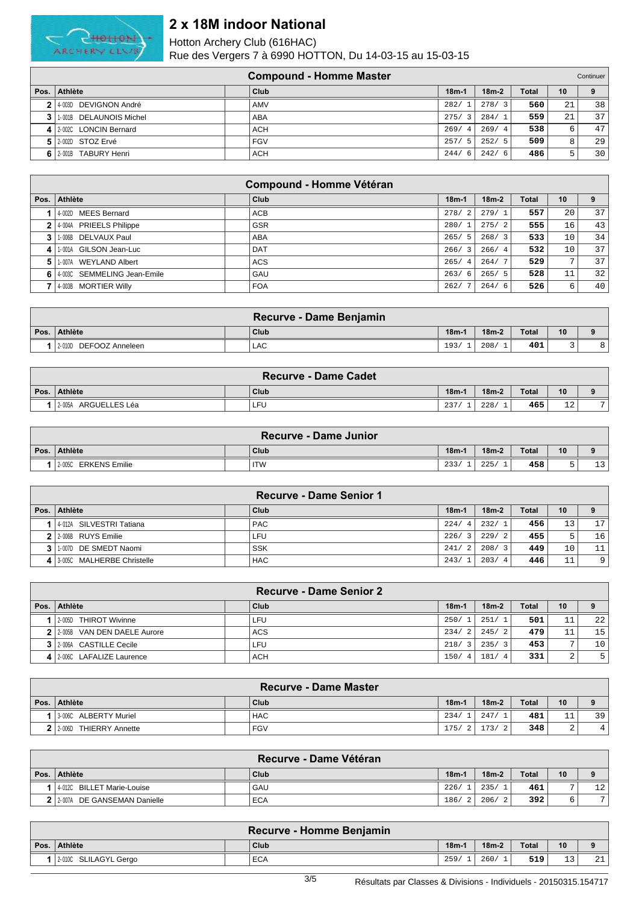

|    |                         | <b>Compound - Homme Master</b> |                        |                        |              |    | Continuer |
|----|-------------------------|--------------------------------|------------------------|------------------------|--------------|----|-----------|
|    | Pos.   Athlète          | Club                           | $18m-1$                | $18m-2$                | <b>Total</b> | 10 | 9         |
|    | 2 4 003D DEVIGNON André | AMV                            | 282/                   | 278/<br>$\overline{3}$ | 560          | 21 | 38        |
|    | 1-001B DELAUNOIS Michel | ABA                            | 275/<br>$^{\circ}$ 3   | 284/                   | 559          | 21 | 371       |
|    | 4 2.002C LONCIN Bernard | <b>ACH</b>                     | 269/<br>$\overline{4}$ | 269/4                  | 538          | 6  | 47        |
|    | 5 2002D STOZ Ervé       | <b>FGV</b>                     | 257/<br>- 5            | 252/5                  | 509          |    | 29        |
| 61 | 2-001B TABURY Henri     | ACH                            | 244/<br>- 6            | 242/6                  | 486          | ↳  | 30        |

|                |                               | <b>Compound - Homme Vétéran</b> |                        |         |              |              |     |
|----------------|-------------------------------|---------------------------------|------------------------|---------|--------------|--------------|-----|
| Pos. $\vert$   | Athlète                       | Club                            | $18m-1$                | $18m-2$ | <b>Total</b> | 10           | 9   |
|                | 4-002D MEES Bernard           | ACB                             | 278/<br>$\overline{2}$ | 279/1   | 557          | 20           | 371 |
| 2 <sub>1</sub> | 4-004A PRIEELS Philippe       | <b>GSR</b>                      | 280/                   | 275/2   | 555          | 16           | 43  |
| 3              | 1-006B DELVAUX Paul           | <b>ABA</b>                      | 265/<br>- 5            | 268/3   | 533          | 10           | 34  |
| 4              | 1-001A GILSON Jean-Luc        | <b>DAT</b>                      | 266/3                  | 266/4   | 532          | 10           | 37  |
| 5.             | 1-007A WEYLAND Albert         | <b>ACS</b>                      | 265/<br>$\overline{4}$ | 264/7   | 529          | $\mathbf{r}$ | 37  |
|                | 6 4 003C SEMMELING Jean-Emile | GAU                             | 263/6                  | 265/5   | 528          | 11           | 32  |
|                | 4-003B MORTIER Willy          | <b>FOA</b>                      | 262/                   | 264/6   | 526          | 6            | 40  |

|      |                           | Recurve - Dame Benjamin |        |         |       |    |         |
|------|---------------------------|-------------------------|--------|---------|-------|----|---------|
| Pos. | <b>Athlète</b>            | <b>Club</b>             | $18m-$ | $18m-2$ | Total | 10 |         |
|      | DEFOOZ Anneleen<br>2-010D | LAC                     | 193.   | 208.    | 401   |    | $\circ$ |

| <b>Recurve - Dame Cadet</b> |  |      |         |         |       |              |                |  |  |
|-----------------------------|--|------|---------|---------|-------|--------------|----------------|--|--|
| Pos. Athlète                |  | Club | $18m-1$ | $18m-2$ | Total | 10           |                |  |  |
| ARGUELLES Léa<br>2-005A     |  | LFU  | 237/    | 228/    | 465'  | $\sim$<br>∸∸ | $\overline{ }$ |  |  |

|          | <b>Recurve - Dame Junior</b> |  |            |         |         |       |    |                      |  |  |
|----------|------------------------------|--|------------|---------|---------|-------|----|----------------------|--|--|
| ∣ Pos. I | Athlète                      |  | Club       | $18m-1$ | $18m-2$ | Total | 10 |                      |  |  |
|          | ERKENS Emilie<br>2-005C      |  | <b>ITW</b> | 233/    | 225/    | 458   |    | $\overline{2}$<br>⊥⊃ |  |  |

|      |                            | <b>Recurve - Dame Senior 1</b> |             |         |              |                 |                 |
|------|----------------------------|--------------------------------|-------------|---------|--------------|-----------------|-----------------|
| Pos. | Athlète                    | Club                           | $18m-1$     | $18m-2$ | <b>Total</b> | 10              | 9               |
|      | 4-012A SILVESTRI Tatiana   | <b>PAC</b>                     | 224/4       | 232/1   | 456          | 13              | 17 <sup>1</sup> |
|      | $2$   2-006B RUYS Emilie   | LFU                            | 226/3       | 229/2   | 455          | 5               | 16 <sup>1</sup> |
|      | 1-007D DE SMEDT Naomi      | <b>SSK</b>                     | 241/<br>- 2 | 208/3   | 449          | 10 <sub>1</sub> | 11              |
|      | 3-005C MALHERBE Christelle | <b>HAC</b>                     | 243/        | 203/    | 446          | 11              | 9               |

|                                | <b>Recurve - Dame Senior 2</b> |                        |         |              |             |                 |
|--------------------------------|--------------------------------|------------------------|---------|--------------|-------------|-----------------|
| Pos.   Athlète                 | Club                           | $18m-1$                | $18m-2$ | <b>Total</b> | 10          | 9               |
| 2-005D THIROT Wivinne          | LFU                            | 250/                   | 251/1   | 501          | 11          | 22              |
| 2 2 2005B VAN DEN DAELE Aurore | <b>ACS</b>                     | 234/<br>2              | 245/2   | 479          | 11<br>ᆂᆂ    | 15              |
| 3 2006A CASTILLE Cecile        | LFU                            | 218/3                  | 235/3   | 453          | ⇁           | 10 <sup>1</sup> |
| 4 2.006C LAFALIZE Laurence     | <b>ACH</b>                     | 150/<br>$\overline{4}$ | 181     | 331          | $\sim$<br>∠ | 5 <sup>1</sup>  |

| <b>Recurve - Dame Master</b>      |  |            |         |                        |              |          |    |  |  |
|-----------------------------------|--|------------|---------|------------------------|--------------|----------|----|--|--|
| Pos. Athlète                      |  | Club       | $18m-1$ | $18m-2$                | <b>Total</b> | 10       |    |  |  |
| $3-006C$<br><b>ALBERTY Muriel</b> |  | <b>HAC</b> | 234/    | 247/                   | 481          | 11<br>ᆂᆂ | 39 |  |  |
| <b>THIERRY Annette</b><br>2-006D  |  | <b>FGV</b> | 175/    | 173/<br>$\overline{2}$ | 348          | ▵        | 4  |  |  |

|                                | <b>Recurve - Dame Vétéran</b> |        |         |       |    |    |
|--------------------------------|-------------------------------|--------|---------|-------|----|----|
| Pos.   Athlète                 | Club                          | $18m-$ | $18m-2$ | Total | 10 |    |
| I   4 012C BILLET Marie-Louise | GAU                           | 226/   | 235/    | 461   |    | 12 |
| 2 2 2007A DE GANSEMAN Danielle | <b>ECA</b>                    | 186/   | 206/    | 392   |    | 7  |

| Recurve - Homme Benjamin |  |            |                    |         |              |             |                     |  |  |
|--------------------------|--|------------|--------------------|---------|--------------|-------------|---------------------|--|--|
| Pos. Athlète             |  | Club       | 18 <sub>m</sub> -1 | $18m-2$ | <b>Total</b> | 10          |                     |  |  |
| 2-010C SLILAGYL Gergo    |  | <b>ECA</b> | 259/               | 260/    | 519          | $\sim$<br>ᅩ | $\sim$ $\sim$<br>∠⊥ |  |  |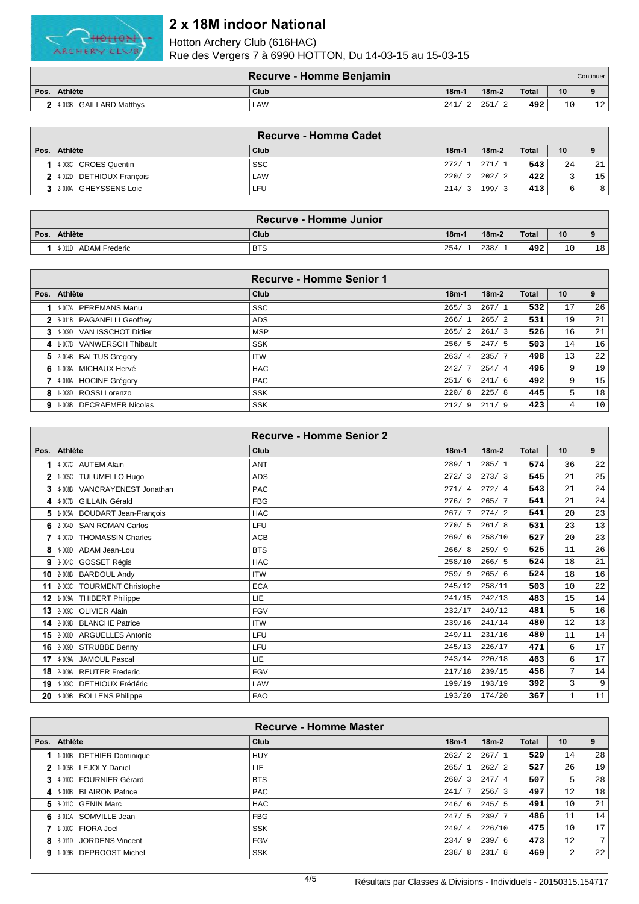

| Recurve - Homme Benjamin<br>Continuer |  |      |         |         |              |           |    |  |
|---------------------------------------|--|------|---------|---------|--------------|-----------|----|--|
| Pos. Athlète                          |  | Club | $18m -$ | $18m-2$ | <b>Total</b> | 10        |    |  |
| $2$ 4.013B GAILLARD Matthys           |  | LAW  | 241/    | 251     | 492          | 1 O<br>⊥∪ | 12 |  |

|     |                            | <b>Recurve - Homme Cadet</b> |         |         |              |                          |                 |
|-----|----------------------------|------------------------------|---------|---------|--------------|--------------------------|-----------------|
|     | Pos.   Athlète             | Club                         | $18m-1$ | $18m-2$ | <b>Total</b> | 10                       |                 |
|     | 40080 CROES Quentin        | <b>SSC</b>                   | 272/    | 271/1   | 543          | 24                       | 21              |
|     | 2 4 012D DETHIOUX Francois | LAW                          | 220/2   | 202/2   | 422          | $\overline{\phantom{0}}$ | 15 <sup>1</sup> |
| 3 I | 2-010A GHEYSSENS Loic      | ∟FU                          | 214/3   | 199/3   | 413          | 6                        | 8               |

|                      | Recurve - Homme Junior |        |         |       |                 |    |
|----------------------|------------------------|--------|---------|-------|-----------------|----|
| Pos. Athlète         | Club                   | $18m-$ | $18m-2$ | Total | 10 <sup>°</sup> |    |
| 4-011D ADAM Frederic | <b>BTS</b>             | 254/   | 238/    | 492   | 10              | 18 |

|   |                             | Recurve - Homme Senior 1 |                        |         |       |                |    |
|---|-----------------------------|--------------------------|------------------------|---------|-------|----------------|----|
|   | Pos. Athlète                | Club                     | $18m-1$                | $18m-2$ | Total | 10             | 9  |
|   | 1 4-007A PEREMANS Manu      | <b>SSC</b>               | 265/<br>$\overline{3}$ | 267/1   | 532   | 17             | 26 |
|   | 2 3 011B PAGANELLI Geoffrey | <b>ADS</b>               | 266/                   | 265/2   | 531   | 19             | 21 |
|   | 3 4 009D VAN ISSCHOT Didier | <b>MSP</b>               | 265/<br>2              | 261/3   | 526   | 16             | 21 |
| 4 | 1-007B VANWERSCH Thibault   | <b>SSK</b>               | 256/<br>5              | 247/5   | 503   | 14             | 16 |
|   | 5 2004B BALTUS Gregory      | <b>ITW</b>               | 263/<br>$\overline{4}$ | 235/7   | 498   | 13             | 22 |
| 6 | 1-008A MICHAUX Hervé        | <b>HAC</b>               | 242/                   | 254/4   | 496   | 9              | 19 |
|   | 7 4-010A HOCINE Grégory     | <b>PAC</b>               | 251/<br>6              | 241/6   | 492   | 9              | 15 |
| 8 | 1-008D ROSSI Lorenzo        | <b>SSK</b>               | 220/<br>-8             | 225/8   | 445   | 5              | 18 |
| 9 | 1-008B DECRAEMER Nicolas    | <b>SSK</b>               | 212/<br>9              | 211/9   | 423   | $\overline{4}$ | 10 |

|      |                              | <b>Recurve - Homme Senior 2</b> |         |         |              |             |                |
|------|------------------------------|---------------------------------|---------|---------|--------------|-------------|----------------|
| Pos. | <b>Athlète</b>               | Club                            | $18m-1$ | $18m-2$ | <b>Total</b> | 10          | 9              |
|      | 4-007C AUTEM Alain           | ANT                             | 289/1   | 285/1   | 574          | 36          | 22             |
| 2    | 1-005C TULUMELLO Hugo        | <b>ADS</b>                      | 272/3   | 273/3   | 545          | 21          | 25             |
| 3    | 4-008B VANCRAYENEST Jonathan | <b>PAC</b>                      | 271/4   | 272/4   | 543          | 21          | 24             |
| 4    | 4-007B GILLAIN Gérald        | <b>FBG</b>                      | 276/2   | 265/7   | 541          | 21          | 24             |
| 5    | 1-005A BOUDART Jean-François | <b>HAC</b>                      | 267/7   | 274/2   | 541          | 20          | 23             |
| 6    | 2-004D SAN ROMAN Carlos      | LFU                             | 270/5   | 261/8   | 531          | 23          | 13             |
|      | 4-007D THOMASSIN Charles     | <b>ACB</b>                      | 269/6   | 258/10  | 527          | 20          | 23             |
| 8    | 4-008D ADAM Jean-Lou         | <b>BTS</b>                      | 266/8   | 259/9   | 525          | 11          | 26             |
| 9    | 3-004C GOSSET Régis          | <b>HAC</b>                      | 258/10  | 266/5   | 524          | 18          | 21             |
| 10   | 2-008B BARDOUL Andy          | <b>ITW</b>                      | 259/9   | 265/6   | 524          | 18          | 16             |
| 11   | 2-003C TOURMENT Christophe   | <b>ECA</b>                      | 245/12  | 258/11  | 503          | 10          | 22             |
| 12   | 1-009A THIBERT Philippe      | <b>LIE</b>                      | 241/15  | 242/13  | 483          | 15          | 14             |
| 13   | 2-009C OLIVIER Alain         | <b>FGV</b>                      | 232/17  | 249/12  | 481          | 5           | 16             |
| 14   | 2-009B BLANCHE Patrice       | <b>ITW</b>                      | 239/16  | 241/14  | 480          | 12          | 13             |
| 15   | 2-008D ARGUELLES Antonio     | LFU                             | 249/11  | 231/16  | 480          | 11          | 14             |
| 16   | 2-009D STRUBBE Benny         | LFU                             | 245/13  | 226/17  | 471          | 6           | 17             |
| 17   | 4-009A JAMOUL Pascal         | <b>LIE</b>                      | 243/14  | 220/18  | 463          | 6           | 17             |
| 18   | 2-009A REUTER Frederic       | <b>FGV</b>                      | 217/18  | 239/15  | 456          | 7           | 14             |
| 19   | 4-009C DETHIOUX Frédéric     | LAW                             | 199/19  | 193/19  | 392          | 3           | 9 <sup>1</sup> |
| 20   | 4-009B BOLLENS Philippe      | <b>FAO</b>                      | 193/20  | 174/20  | 367          | $\mathbf 1$ | 11             |

|                | Recurve - Homme Master   |  |            |             |         |       |                   |    |  |
|----------------|--------------------------|--|------------|-------------|---------|-------|-------------------|----|--|
| Pos. $\vert$   | <b>Athlète</b>           |  | Club       | $18m-1$     | $18m-2$ | Total | 10                | 9  |  |
|                | 1-010B DETHIER Dominique |  | <b>HUY</b> | 262/<br>2   | 267/1   | 529   | 14                | 28 |  |
| 2 <sup>1</sup> | 1-005B LEJOLY Daniel     |  | <b>LIE</b> | 265/        | 262/2   | 527   | 26                | 19 |  |
|                | 3 4 000 FOURNIER Gérard  |  | <b>BTS</b> | 260/        | 247/4   | 507   | 5                 | 28 |  |
|                | 4 4 010 BLAIRON Patrice  |  | <b>PAC</b> | 241/        | 256/3   | 497   | $12 \overline{ }$ | 18 |  |
|                | 5 3-011C GENIN Marc      |  | <b>HAC</b> | 246/<br>- 6 | 245/5   | 491   | 10                | 21 |  |
| 61             | 3-011A SOMVILLE Jean     |  | <b>FBG</b> | 247/5       | 239/7   | 486   | 11                | 14 |  |
|                | 1-010C FIORA Joel        |  | <b>SSK</b> | 249/4       | 226/10  | 475   | 10                | 17 |  |
|                | 8 3010 JORDENS Vincent   |  | <b>FGV</b> | 234/<br>9   | 239/6   | 473   | 12 <sup>°</sup>   | 7  |  |
| 9              | 1-009B DEPROOST Michel   |  | <b>SSK</b> | 238/<br>8   | 231/8   | 469   | 2                 | 22 |  |